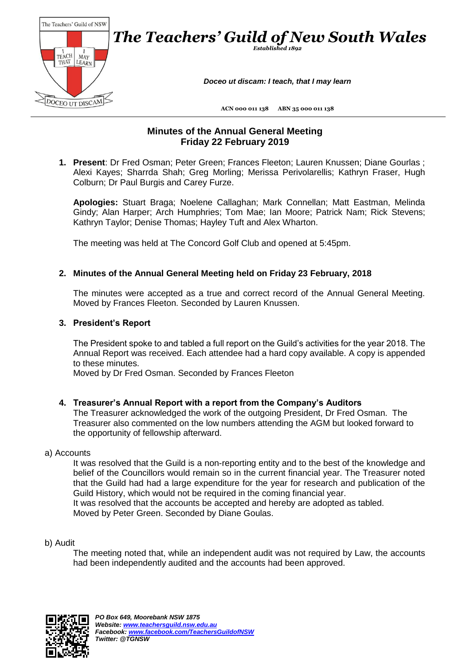

# **Minutes of the Annual General Meeting Friday 22 February 2019**

**1. Present**: Dr Fred Osman; Peter Green; Frances Fleeton; Lauren Knussen; Diane Gourlas ; Alexi Kayes; Sharrda Shah; Greg Morling; Merissa Perivolarellis; Kathryn Fraser, Hugh Colburn; Dr Paul Burgis and Carey Furze.

**Apologies:** Stuart Braga; Noelene Callaghan; Mark Connellan; Matt Eastman, Melinda Gindy; Alan Harper; Arch Humphries; Tom Mae; Ian Moore; Patrick Nam; Rick Stevens; Kathryn Taylor; Denise Thomas; Hayley Tuft and Alex Wharton.

The meeting was held at The Concord Golf Club and opened at 5:45pm.

## **2. Minutes of the Annual General Meeting held on Friday 23 February, 2018**

The minutes were accepted as a true and correct record of the Annual General Meeting. Moved by Frances Fleeton. Seconded by Lauren Knussen.

### **3. President's Report**

The President spoke to and tabled a full report on the Guild's activities for the year 2018. The Annual Report was received. Each attendee had a hard copy available. A copy is appended to these minutes.

Moved by Dr Fred Osman. Seconded by Frances Fleeton

#### **4. Treasurer's Annual Report with a report from the Company's Auditors**

The Treasurer acknowledged the work of the outgoing President, Dr Fred Osman. The Treasurer also commented on the low numbers attending the AGM but looked forward to the opportunity of fellowship afterward.

#### a) Accounts

It was resolved that the Guild is a non-reporting entity and to the best of the knowledge and belief of the Councillors would remain so in the current financial year. The Treasurer noted that the Guild had had a large expenditure for the year for research and publication of the Guild History, which would not be required in the coming financial year. It was resolved that the accounts be accepted and hereby are adopted as tabled. Moved by Peter Green. Seconded by Diane Goulas.

#### b) Audit

The meeting noted that, while an independent audit was not required by Law, the accounts had been independently audited and the accounts had been approved.

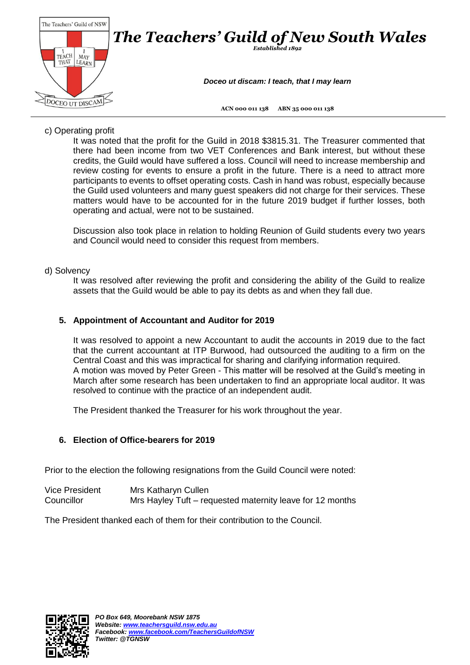

## c) Operating profit

It was noted that the profit for the Guild in 2018 \$3815.31. The Treasurer commented that there had been income from two VET Conferences and Bank interest, but without these credits, the Guild would have suffered a loss. Council will need to increase membership and review costing for events to ensure a profit in the future. There is a need to attract more participants to events to offset operating costs. Cash in hand was robust, especially because the Guild used volunteers and many guest speakers did not charge for their services. These matters would have to be accounted for in the future 2019 budget if further losses, both operating and actual, were not to be sustained.

Discussion also took place in relation to holding Reunion of Guild students every two years and Council would need to consider this request from members.

#### d) Solvency

It was resolved after reviewing the profit and considering the ability of the Guild to realize assets that the Guild would be able to pay its debts as and when they fall due.

### **5. Appointment of Accountant and Auditor for 2019**

It was resolved to appoint a new Accountant to audit the accounts in 2019 due to the fact that the current accountant at ITP Burwood, had outsourced the auditing to a firm on the Central Coast and this was impractical for sharing and clarifying information required. A motion was moved by Peter Green - This matter will be resolved at the Guild's meeting in March after some research has been undertaken to find an appropriate local auditor. It was resolved to continue with the practice of an independent audit.

The President thanked the Treasurer for his work throughout the year.

#### **6. Election of Office-bearers for 2019**

Prior to the election the following resignations from the Guild Council were noted:

| <b>Vice President</b> | Mrs Katharyn Cullen                                       |
|-----------------------|-----------------------------------------------------------|
| Councillor            | Mrs Hayley Tuft – requested maternity leave for 12 months |

The President thanked each of them for their contribution to the Council.